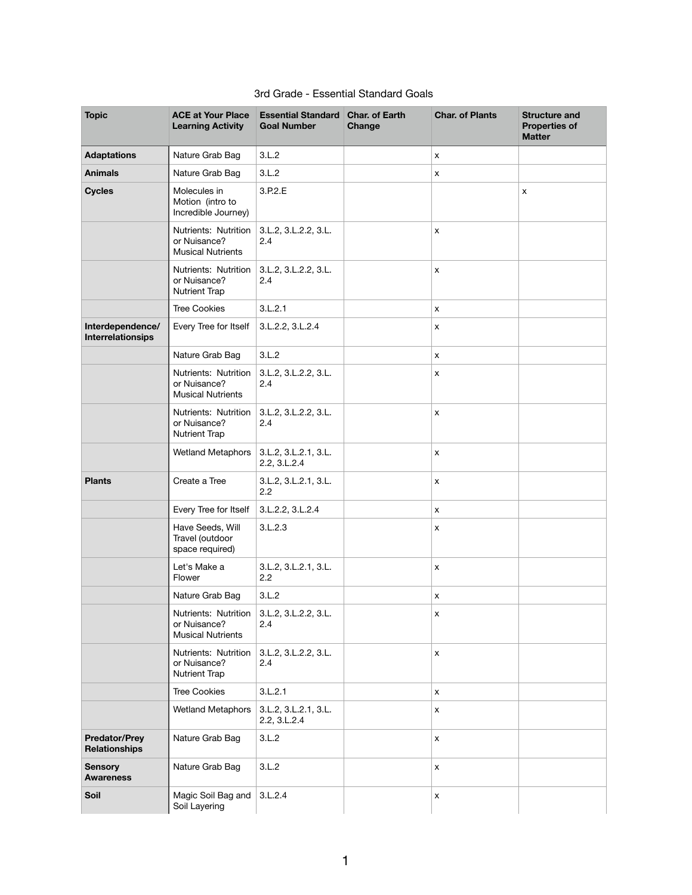| <b>Topic</b>                                 | <b>ACE at Your Place</b><br><b>Learning Activity</b>             | <b>Essential Standard Char. of Earth</b><br><b>Goal Number</b> | Change | <b>Char. of Plants</b>    | <b>Structure and</b><br><b>Properties of</b><br><b>Matter</b> |
|----------------------------------------------|------------------------------------------------------------------|----------------------------------------------------------------|--------|---------------------------|---------------------------------------------------------------|
| <b>Adaptations</b>                           | Nature Grab Bag                                                  | 3.L.2                                                          |        | X                         |                                                               |
| <b>Animals</b>                               | Nature Grab Bag                                                  | 3.L.2                                                          |        | $\boldsymbol{\mathsf{X}}$ |                                                               |
| <b>Cycles</b>                                | Molecules in<br>Motion (intro to<br>Incredible Journey)          | 3.P.2.E                                                        |        |                           | $\pmb{\mathsf{X}}$                                            |
|                                              | Nutrients: Nutrition<br>or Nuisance?<br><b>Musical Nutrients</b> | 3.L.2, 3.L.2.2, 3.L.<br>2.4                                    |        | X                         |                                                               |
|                                              | Nutrients: Nutrition<br>or Nuisance?<br><b>Nutrient Trap</b>     | 3.L.2, 3.L.2.2, 3.L.<br>2.4                                    |        | $\boldsymbol{\mathsf{x}}$ |                                                               |
|                                              | <b>Tree Cookies</b>                                              | 3.L.2.1                                                        |        | $\boldsymbol{\mathsf{x}}$ |                                                               |
| Interdependence/<br><b>Interrelationsips</b> | Every Tree for Itself                                            | 3.L.2.2, 3.L.2.4                                               |        | X                         |                                                               |
|                                              | Nature Grab Bag                                                  | 3.L.2                                                          |        | $\boldsymbol{\mathsf{X}}$ |                                                               |
|                                              | Nutrients: Nutrition<br>or Nuisance?<br><b>Musical Nutrients</b> | 3.L.2, 3.L.2.2, 3.L.<br>2.4                                    |        | $\pmb{\mathsf{X}}$        |                                                               |
|                                              | Nutrients: Nutrition<br>or Nuisance?<br><b>Nutrient Trap</b>     | 3.L.2, 3.L.2.2, 3.L.<br>2.4                                    |        | X                         |                                                               |
|                                              | <b>Wetland Metaphors</b>                                         | 3.L.2, 3.L.2.1, 3.L.<br>2.2, 3.L.2.4                           |        | $\boldsymbol{\mathsf{X}}$ |                                                               |
| <b>Plants</b>                                | Create a Tree                                                    | 3.L.2, 3.L.2.1, 3.L.<br>2.2                                    |        | $\boldsymbol{\mathsf{X}}$ |                                                               |
|                                              | Every Tree for Itself                                            | 3.L.2.2, 3.L.2.4                                               |        | $\boldsymbol{\mathsf{x}}$ |                                                               |
|                                              | Have Seeds, Will<br>Travel (outdoor<br>space required)           | 3.L.2.3                                                        |        | X                         |                                                               |
|                                              | Let's Make a<br>Flower                                           | 3.L.2, 3.L.2.1, 3.L.<br>2.2                                    |        | $\boldsymbol{\mathsf{X}}$ |                                                               |
|                                              | Nature Grab Bag                                                  | 3.L.2                                                          |        | $\boldsymbol{\mathsf{x}}$ |                                                               |
|                                              | Nutrients: Nutrition<br>or Nuisance?<br><b>Musical Nutrients</b> | 3.L.2, 3.L.2.2, 3.L.<br>2.4                                    |        | $\boldsymbol{\mathsf{x}}$ |                                                               |
|                                              | Nutrients: Nutrition<br>or Nuisance?<br><b>Nutrient Trap</b>     | 3.L.2, 3.L.2.2, 3.L.<br>2.4                                    |        | $\boldsymbol{\mathsf{X}}$ |                                                               |
|                                              | <b>Tree Cookies</b>                                              | 3.L.2.1                                                        |        | $\pmb{\mathsf{X}}$        |                                                               |
|                                              | <b>Wetland Metaphors</b>                                         | 3.L.2, 3.L.2.1, 3.L.<br>2.2, 3.L.2.4                           |        | $\boldsymbol{\mathsf{x}}$ |                                                               |
| <b>Predator/Prey</b><br><b>Relationships</b> | Nature Grab Bag                                                  | 3.L.2                                                          |        | $\boldsymbol{\mathsf{X}}$ |                                                               |
| <b>Sensory</b><br><b>Awareness</b>           | Nature Grab Bag                                                  | 3.L.2                                                          |        | $\pmb{\mathsf{X}}$        |                                                               |
| Soil                                         | Magic Soil Bag and 3.L.2.4<br>Soil Layering                      |                                                                |        | X                         |                                                               |

## 3rd Grade - Essential Standard Goals